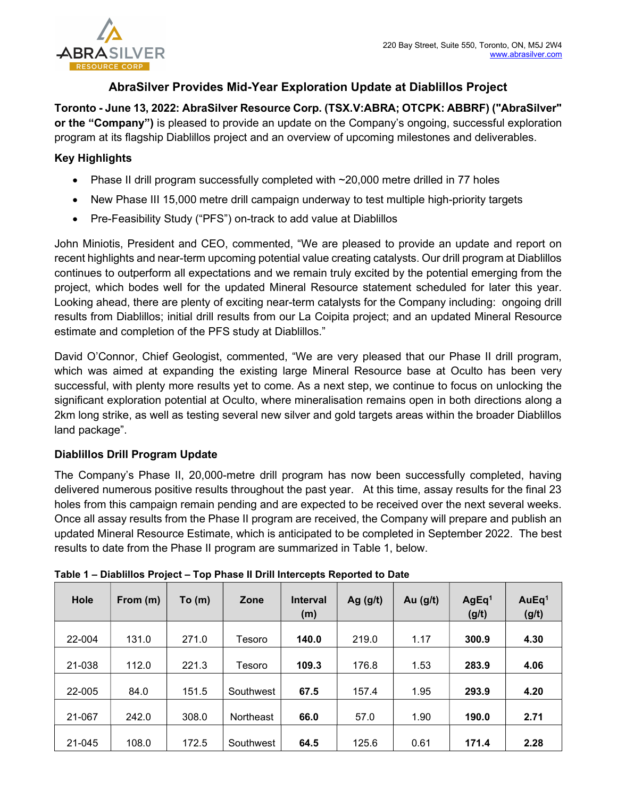

# AbraSilver Provides Mid-Year Exploration Update at Diablillos Project

Toronto - June 13, 2022: AbraSilver Resource Corp. (TSX.V:ABRA; OTCPK: ABBRF) ("AbraSilver" or the "Company") is pleased to provide an update on the Company's ongoing, successful exploration program at its flagship Diablillos project and an overview of upcoming milestones and deliverables.

## Key Highlights

- Phase II drill program successfully completed with  $\sim$  20,000 metre drilled in 77 holes
- New Phase III 15,000 metre drill campaign underway to test multiple high-priority targets
- Pre-Feasibility Study ("PFS") on-track to add value at Diablillos

John Miniotis, President and CEO, commented, "We are pleased to provide an update and report on recent highlights and near-term upcoming potential value creating catalysts. Our drill program at Diablillos continues to outperform all expectations and we remain truly excited by the potential emerging from the project, which bodes well for the updated Mineral Resource statement scheduled for later this year. Looking ahead, there are plenty of exciting near-term catalysts for the Company including: ongoing drill results from Diablillos; initial drill results from our La Coipita project; and an updated Mineral Resource estimate and completion of the PFS study at Diablillos."

David O'Connor, Chief Geologist, commented, "We are very pleased that our Phase II drill program, which was aimed at expanding the existing large Mineral Resource base at Oculto has been very successful, with plenty more results yet to come. As a next step, we continue to focus on unlocking the significant exploration potential at Oculto, where mineralisation remains open in both directions along a 2km long strike, as well as testing several new silver and gold targets areas within the broader Diablillos land package".

### Diablillos Drill Program Update

The Company's Phase II, 20,000-metre drill program has now been successfully completed, having delivered numerous positive results throughout the past year. At this time, assay results for the final 23 holes from this campaign remain pending and are expected to be received over the next several weeks. Once all assay results from the Phase II program are received, the Company will prepare and publish an updated Mineral Resource Estimate, which is anticipated to be completed in September 2022. The best results to date from the Phase II program are summarized in Table 1, below.

| Hole   | From (m) | To(m) | Zone             | <b>Interval</b><br>(m) | Ag $(g/t)$ | Au $(g/t)$ | AgEq <sup>1</sup><br>(g/t) | AuEq <sup>1</sup><br>(g/t) |
|--------|----------|-------|------------------|------------------------|------------|------------|----------------------------|----------------------------|
| 22-004 | 131.0    | 271.0 | Tesoro           | 140.0                  | 219.0      | 1.17       | 300.9                      | 4.30                       |
| 21-038 | 112.0    | 221.3 | Tesoro           | 109.3                  | 176.8      | 1.53       | 283.9                      | 4.06                       |
| 22-005 | 84.0     | 151.5 | Southwest        | 67.5                   | 157.4      | 1.95       | 293.9                      | 4.20                       |
| 21-067 | 242.0    | 308.0 | <b>Northeast</b> | 66.0                   | 57.0       | 1.90       | 190.0                      | 2.71                       |
| 21-045 | 108.0    | 172.5 | Southwest        | 64.5                   | 125.6      | 0.61       | 171.4                      | 2.28                       |

|  |  |  | Table 1 – Diablillos Project – Top Phase II Drill Intercepts Reported to Date |
|--|--|--|-------------------------------------------------------------------------------|
|--|--|--|-------------------------------------------------------------------------------|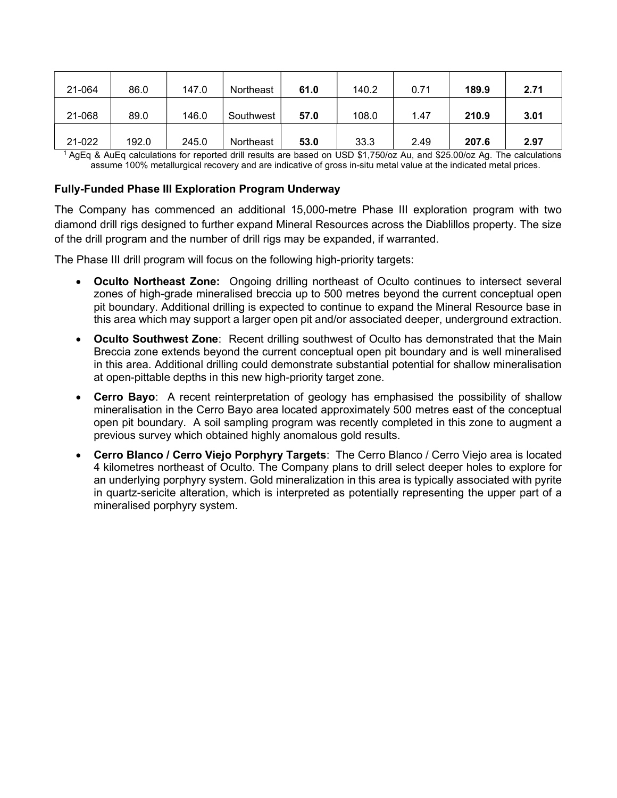| 21-064 | 86.0  | 147.0 | Northeast | 61.0 | 140.2 | 0.71 | 189.9 | 2.71 |
|--------|-------|-------|-----------|------|-------|------|-------|------|
| 21-068 | 89.0  | 146.0 | Southwest | 57.0 | 108.0 | 1.47 | 210.9 | 3.01 |
| 21-022 | 192.0 | 245.0 | Northeast | 53.0 | 33.3  | 2.49 | 207.6 | 2.97 |

<sup>1</sup>AgEq & AuEq calculations for reported drill results are based on USD \$1,750/oz Au, and \$25.00/oz Ag. The calculations assume 100% metallurgical recovery and are indicative of gross in-situ metal value at the indicated metal prices.

#### Fully-Funded Phase III Exploration Program Underway

The Company has commenced an additional 15,000-metre Phase III exploration program with two diamond drill rigs designed to further expand Mineral Resources across the Diablillos property. The size of the drill program and the number of drill rigs may be expanded, if warranted.

The Phase III drill program will focus on the following high-priority targets:

- Oculto Northeast Zone: Ongoing drilling northeast of Oculto continues to intersect several zones of high-grade mineralised breccia up to 500 metres beyond the current conceptual open pit boundary. Additional drilling is expected to continue to expand the Mineral Resource base in this area which may support a larger open pit and/or associated deeper, underground extraction.
- Oculto Southwest Zone: Recent drilling southwest of Oculto has demonstrated that the Main Breccia zone extends beyond the current conceptual open pit boundary and is well mineralised in this area. Additional drilling could demonstrate substantial potential for shallow mineralisation at open-pittable depths in this new high-priority target zone.
- Cerro Bayo: A recent reinterpretation of geology has emphasised the possibility of shallow mineralisation in the Cerro Bayo area located approximately 500 metres east of the conceptual open pit boundary. A soil sampling program was recently completed in this zone to augment a previous survey which obtained highly anomalous gold results.
- Cerro Blanco / Cerro Viejo Porphyry Targets: The Cerro Blanco / Cerro Viejo area is located 4 kilometres northeast of Oculto. The Company plans to drill select deeper holes to explore for an underlying porphyry system. Gold mineralization in this area is typically associated with pyrite in quartz-sericite alteration, which is interpreted as potentially representing the upper part of a mineralised porphyry system.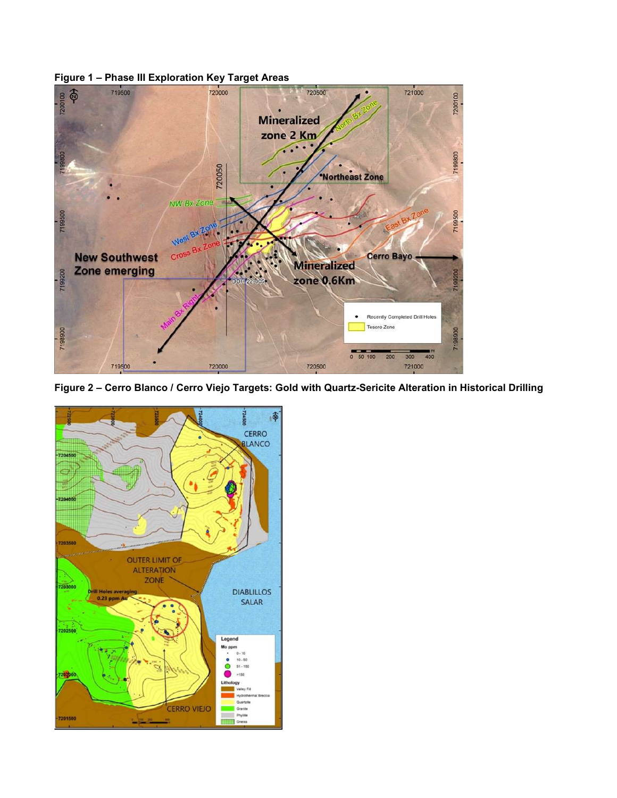



Figure 2 – Cerro Blanco / Cerro Viejo Targets: Gold with Quartz-Sericite Alteration in Historical Drilling

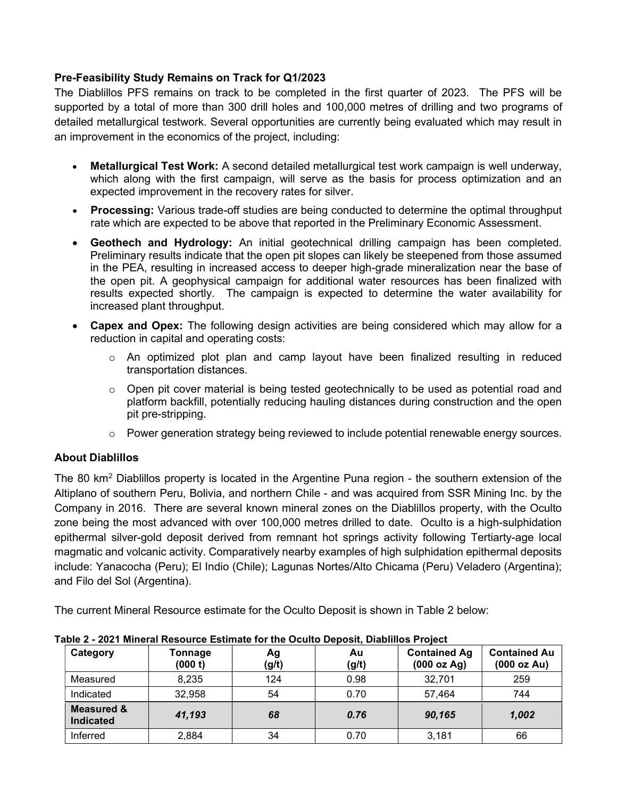### Pre-Feasibility Study Remains on Track for Q1/2023

The Diablillos PFS remains on track to be completed in the first quarter of 2023. The PFS will be supported by a total of more than 300 drill holes and 100,000 metres of drilling and two programs of detailed metallurgical testwork. Several opportunities are currently being evaluated which may result in an improvement in the economics of the project, including:

- Metallurgical Test Work: A second detailed metallurgical test work campaign is well underway, which along with the first campaign, will serve as the basis for process optimization and an expected improvement in the recovery rates for silver.
- **Processing:** Various trade-off studies are being conducted to determine the optimal throughput rate which are expected to be above that reported in the Preliminary Economic Assessment.
- Geothech and Hydrology: An initial geotechnical drilling campaign has been completed. Preliminary results indicate that the open pit slopes can likely be steepened from those assumed in the PEA, resulting in increased access to deeper high-grade mineralization near the base of the open pit. A geophysical campaign for additional water resources has been finalized with results expected shortly. The campaign is expected to determine the water availability for increased plant throughput.
- Capex and Opex: The following design activities are being considered which may allow for a reduction in capital and operating costs:
	- $\circ$  An optimized plot plan and camp layout have been finalized resulting in reduced transportation distances.
	- $\circ$  Open pit cover material is being tested geotechnically to be used as potential road and platform backfill, potentially reducing hauling distances during construction and the open pit pre-stripping.
	- $\circ$  Power generation strategy being reviewed to include potential renewable energy sources.

### About Diablillos

The 80 km<sup>2</sup> Diablillos property is located in the Argentine Puna region - the southern extension of the Altiplano of southern Peru, Bolivia, and northern Chile - and was acquired from SSR Mining Inc. by the Company in 2016. There are several known mineral zones on the Diablillos property, with the Oculto zone being the most advanced with over 100,000 metres drilled to date. Oculto is a high-sulphidation epithermal silver-gold deposit derived from remnant hot springs activity following Tertiarty-age local magmatic and volcanic activity. Comparatively nearby examples of high sulphidation epithermal deposits include: Yanacocha (Peru); El Indio (Chile); Lagunas Nortes/Alto Chicama (Peru) Veladero (Argentina); and Filo del Sol (Argentina).

The current Mineral Resource estimate for the Oculto Deposit is shown in Table 2 below:

| Category                                  | Tonnage<br>(000 t) | Αg<br>(g/t) | Au<br>(g/t) | <b>Contained Ag</b><br>(000 oz Ag) | <b>Contained Au</b><br>(000 oz Au) |
|-------------------------------------------|--------------------|-------------|-------------|------------------------------------|------------------------------------|
| Measured                                  | 8,235              | 124         | 0.98        | 32,701                             | 259                                |
| Indicated                                 | 32,958             | 54          | 0.70        | 57,464                             | 744                                |
| <b>Measured &amp;</b><br><b>Indicated</b> | 41,193             | 68          | 0.76        | 90,165                             | 1,002                              |
| Inferred                                  | 2,884              | 34          | 0.70        | 3,181                              | 66                                 |

Table 2 - 2021 Mineral Resource Estimate for the Oculto Deposit, Diablillos Project